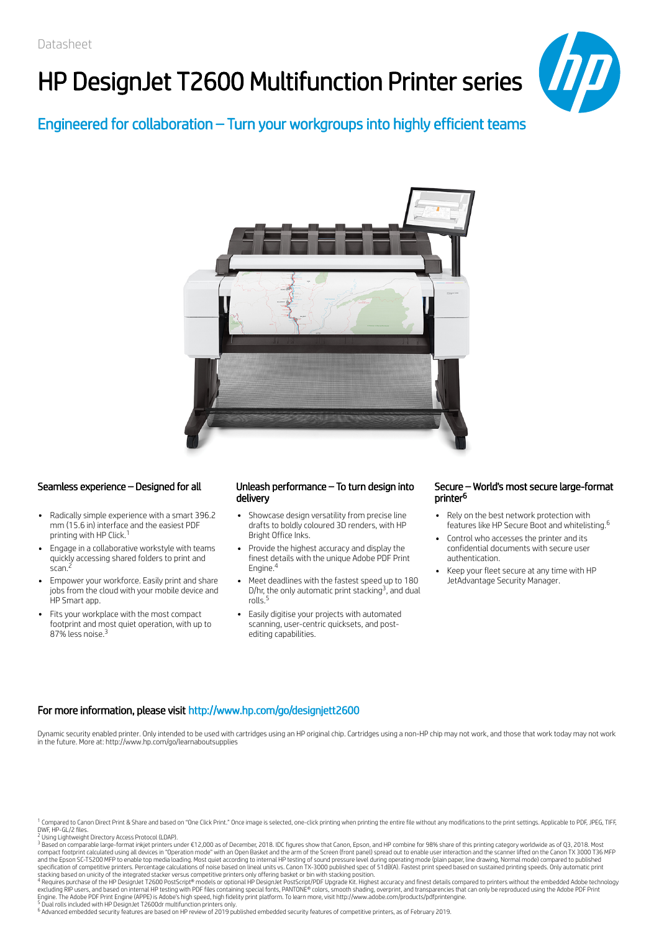# HP DesignJet T2600 Multifunction Printer series



## Engineered for collaboration – Turn your workgroups into highly efficient teams



- Radically simple experience with a smart 396.2 mm (15.6 in) interface and the easiest PDF printing with HP Click. 1
- Engage in a collaborative workstyle with teams quickly accessing shared folders to print and scan. 2
- Empower your workforce. Easily print and share jobs from the cloud with your mobile device and HP Smart app.
- Fits your workplace with the most compact footprint and most quiet operation, with up to 87% less noise. 3

### Seamless experience – Designed for all Unleash performance – To turn design into delivery

- Showcase design versatility from precise line drafts to boldly coloured 3D renders, with HP Bright Office Inks.
- Provide the highest accuracy and display the finest details with the unique Adobe PDF Print Engine. 4
- Meet deadlines with the fastest speed up to 180 D/hr, the only automatic print stacking<sup>3</sup>, and dual rolls. 5
- Easily digitise your projects with automated scanning, user-centric quicksets, and postediting capabilities.

### Secure – World's most secure large-format printer 6

- Rely on the best network protection with features like HP Secure Boot and whitelisting. 6
- Control who accesses the printer and its confidential documents with secure user authentication.
- Keep your fleet secure at any time with HP JetAdvantage Security Manager.

### For more information, please visit http://www.hp.com/go/designjett2600

Dynamic security enabled printer. Only intended to be used with cartridges using an HP original chip. Cartridges using a non-HP chip may not work, and those that work today may not work in the future. More at: http://www.hp.com/go/learnaboutsupplies

<sup>2</sup> Using Lightweight Directory Access Protocol (LDAP).<br><sup>3</sup> Based on comparable large-format inkjet printers under €12,000 as of December, 2018. IDC figures show that Canon, Epson, and HP combine for 98% share of this pri compact footprint calculated using all devices in "Operation mode" with an Open Basket and the arm of the Screen (front panel) spread out to enable user interaction and the scanner lifted on the Canon TX 3000 T36 MFP<br>and t

stacking based on unicity of the integrated stacker versus competitive printers only offering basket or bin with stacking position.<br><sup>4</sup> Requires purchase of the HP DesignJet T2600 PostScript® models or optional HP DesignJe excluding RIP users, and based on internal HP testing with PDF files containing special fonts, PANTONE® colors, smooth shading, overprint, and transparencies that can only be reproduced using the Adobe PDF Print<br>Engine. Th

<sup>6</sup> Advanced embedded security features are based on HP review of 2019 published embedded security features of competitive printers, as of February 2019.

<sup>&</sup>lt;sup>1</sup> Compared to Canon Direct Print & Share and based on "One Click Print." Once image is selected, one-click printing when printing the entire file without any modifications to the print settings. Applicable to PDF, JPEG,